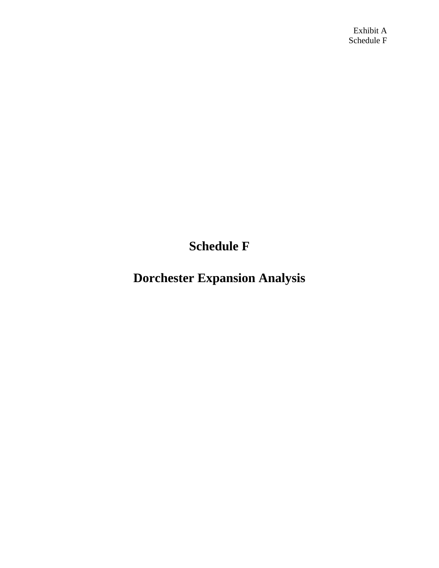Exhibit A Schedule F

**Schedule F**

**Dorchester Expansion Analysis**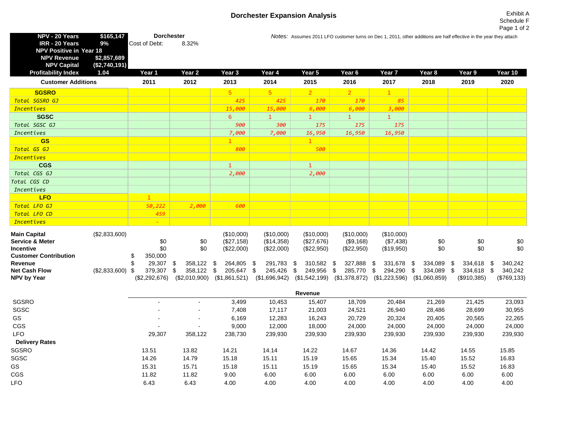## **Dorchester Expansion Analysis** Exhibit A

| NPV - 20 Years<br>IRR - 20 Years<br><b>NPV Positive in Year 18</b><br><b>NPV Revenue</b><br><b>NPV Capital</b> | \$165,147<br>9%<br>\$2,857,689<br>(\$2,740,191) | <b>Dorchester</b><br>Cost of Debt:                       | 8.32%                                     |                                           |                                        |                                        |                                                           |                                             |                                           | Notes: Assumes 2011 LFO customer turns on Dec 1, 2011, other additions are half effective in the year they attach |                                           |
|----------------------------------------------------------------------------------------------------------------|-------------------------------------------------|----------------------------------------------------------|-------------------------------------------|-------------------------------------------|----------------------------------------|----------------------------------------|-----------------------------------------------------------|---------------------------------------------|-------------------------------------------|-------------------------------------------------------------------------------------------------------------------|-------------------------------------------|
| <b>Profitability Index</b>                                                                                     | 1.04                                            | Year 1                                                   | Year 2                                    | Year 3                                    | Year 4                                 | Year 5                                 | Year 6                                                    | Year <sub>7</sub>                           | Year <sub>8</sub>                         | Year 9                                                                                                            | Year 10                                   |
| <b>Customer Additions</b>                                                                                      |                                                 | 2011                                                     | 2012                                      | 2013                                      | 2014                                   | 2015                                   | 2016                                                      | 2017                                        | 2018                                      | 2019                                                                                                              | 2020                                      |
| <b>SGSRO</b>                                                                                                   |                                                 |                                                          |                                           | 5                                         | 5 <sup>5</sup>                         | $\overline{2}$                         | $\overline{2}$                                            | $\overline{1}$                              |                                           |                                                                                                                   |                                           |
| Total SGSRO GJ                                                                                                 |                                                 |                                                          |                                           | 425                                       | 425                                    | 170                                    | 170                                                       | 85                                          |                                           |                                                                                                                   |                                           |
| <b>Incentives</b>                                                                                              |                                                 |                                                          |                                           | 15,000                                    | 15,000                                 | 6,000                                  | 6,000                                                     | 3,000                                       |                                           |                                                                                                                   |                                           |
| <b>SGSC</b>                                                                                                    |                                                 |                                                          |                                           | 6                                         |                                        |                                        |                                                           |                                             |                                           |                                                                                                                   |                                           |
| Total SGSC GJ                                                                                                  |                                                 |                                                          |                                           | 900                                       | 300                                    | 175                                    | 175                                                       | 175                                         |                                           |                                                                                                                   |                                           |
| Incentives                                                                                                     |                                                 |                                                          |                                           | 7,000                                     | 7,000                                  | 16,950                                 | 16,950                                                    | 16,950                                      |                                           |                                                                                                                   |                                           |
| <b>GS</b>                                                                                                      |                                                 |                                                          |                                           |                                           |                                        |                                        |                                                           |                                             |                                           |                                                                                                                   |                                           |
| Total GS GJ                                                                                                    |                                                 |                                                          |                                           | 800                                       |                                        | 500                                    |                                                           |                                             |                                           |                                                                                                                   |                                           |
| <b>Incentives</b>                                                                                              |                                                 |                                                          |                                           |                                           |                                        |                                        |                                                           |                                             |                                           |                                                                                                                   |                                           |
| <b>CGS</b>                                                                                                     |                                                 |                                                          |                                           | $\overline{1}$                            |                                        | $\overline{1}$                         |                                                           |                                             |                                           |                                                                                                                   |                                           |
| Total CGS GJ                                                                                                   |                                                 |                                                          |                                           | 2,000                                     |                                        | 2,000                                  |                                                           |                                             |                                           |                                                                                                                   |                                           |
| Total CGS CD                                                                                                   |                                                 |                                                          |                                           |                                           |                                        |                                        |                                                           |                                             |                                           |                                                                                                                   |                                           |
| Incentives                                                                                                     |                                                 |                                                          |                                           |                                           |                                        |                                        |                                                           |                                             |                                           |                                                                                                                   |                                           |
| <b>LFO</b>                                                                                                     |                                                 |                                                          |                                           |                                           |                                        |                                        |                                                           |                                             |                                           |                                                                                                                   |                                           |
| Total LFO GJ                                                                                                   |                                                 | 50,222                                                   | 2,000                                     | 600                                       |                                        |                                        |                                                           |                                             |                                           |                                                                                                                   |                                           |
| Total LFO CD                                                                                                   |                                                 | 459                                                      |                                           |                                           |                                        |                                        |                                                           |                                             |                                           |                                                                                                                   |                                           |
| <b>Incentives</b>                                                                                              |                                                 |                                                          |                                           |                                           |                                        |                                        |                                                           |                                             |                                           |                                                                                                                   |                                           |
| <b>Main Capital</b><br><b>Service &amp; Meter</b><br>Incentive                                                 | (\$2,833,600)                                   | \$0<br>\$0                                               | \$0<br>\$0                                | (\$10,000)<br>(\$27,158)<br>(\$22,000)    | (\$10,000)<br>(\$14,358)<br>(\$22,000) | (\$10,000)<br>(\$27,676)<br>(\$22,950) | (\$10,000)<br>(\$9,168)<br>(\$22,950)                     | (\$10,000)<br>(\$7,438)<br>(\$19,950)       | \$0<br>\$0                                | \$0<br>\$0                                                                                                        | \$0<br>\$0                                |
| <b>Customer Contribution</b><br>Revenue<br><b>Net Cash Flow</b><br><b>NPV by Year</b>                          | (\$2,833,600)                                   | 350,000<br>S<br>29,307 \$<br>379,307 \$<br>(\$2,292,676) | 358,122 \$<br>358,122 \$<br>(\$2,010,900) | 264,805 \$<br>205,647 \$<br>(\$1,861,521) | 291,783 \$<br>245,426<br>(\$1,696,942) | 310,582 \$<br>\$<br>249,956 \$         | 327,888 \$<br>285,770 \$<br>$($1,542,199)$ $($1,378,872)$ | 331,678 \$<br>294,290 \$<br>$(\$1,223,596)$ | 334,089 \$<br>334,089 \$<br>(\$1,060,859) | 334,618 \$<br>334,618<br>(\$910,385)                                                                              | 340,242<br>-\$<br>340,242<br>(\$769, 133) |

|                       | Revenue                  |                |         |         |         |         |         |         |         |         |
|-----------------------|--------------------------|----------------|---------|---------|---------|---------|---------|---------|---------|---------|
| SGSRO                 | $\blacksquare$           | $\,$           | 3,499   | 10,453  | 15,407  | 18,709  | 20,484  | 21,269  | 21,425  | 23,093  |
| SGSC                  | $\overline{\phantom{0}}$ | $\sim$         | 7,408   | 17,117  | 21,003  | 24,521  | 26,940  | 28,486  | 28,699  | 30,955  |
| GS                    | $\overline{\phantom{0}}$ | $\blacksquare$ | 6,169   | 12,283  | 16,243  | 20,729  | 20,324  | 20,405  | 20,565  | 22,265  |
| <b>CGS</b>            | $\overline{\phantom{0}}$ |                | 9,000   | 12,000  | 18,000  | 24,000  | 24,000  | 24,000  | 24,000  | 24,000  |
| LFO.                  | 29,307                   | 358,122        | 238,730 | 239,930 | 239,930 | 239,930 | 239,930 | 239,930 | 239,930 | 239,930 |
| <b>Delivery Rates</b> |                          |                |         |         |         |         |         |         |         |         |
| SGSRO                 | 13.51                    | 13.82          | 14.21   | 14.14   | 14.22   | 14.67   | 14.36   | 14.42   | 14.55   | 15.85   |
| SGSC                  | 14.26                    | 14.79          | 15.18   | 15.11   | 15.19   | 15.65   | 15.34   | 15.40   | 15.52   | 16.83   |
| GS                    | 15.31                    | 15.71          | 15.18   | 15.11   | 15.19   | 15.65   | 15.34   | 15.40   | 15.52   | 16.83   |
| <b>CGS</b>            | 11.82                    | 11.82          | 9.00    | 6.00    | 6.00    | 6.00    | 6.00    | 6.00    | 6.00    | 6.00    |
| <b>LFO</b>            | 6.43                     | 6.43           | 4.00    | 4.00    | 4.00    | 4.00    | 4.00    | 4.00    | 4.00    | 4.00    |